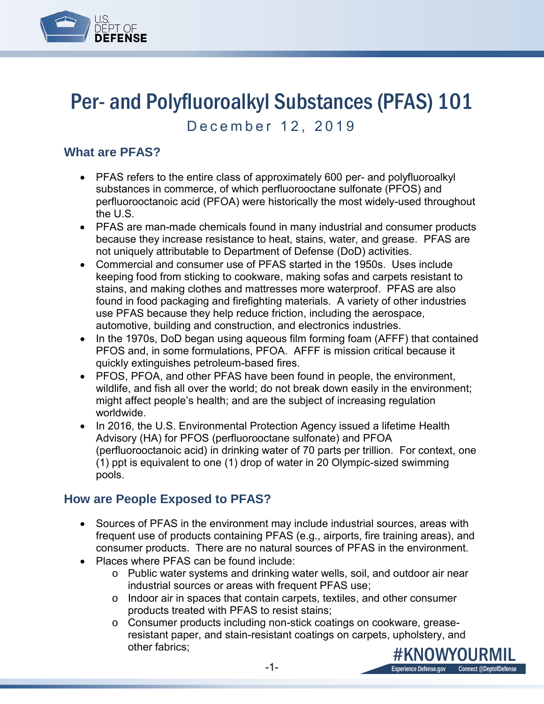

# Per- and Polyfluoroalkyl Substances (PFAS) 101

December 12, 2019

### **What are PFAS?**

- PFAS refers to the entire class of approximately 600 per- and polyfluoroalkyl substances in commerce, of which perfluorooctane sulfonate (PFOS) and perfluorooctanoic acid (PFOA) were historically the most widely-used throughout the U.S.
- PFAS are man-made chemicals found in many industrial and consumer products because they increase resistance to heat, stains, water, and grease. PFAS are not uniquely attributable to Department of Defense (DoD) activities.
- Commercial and consumer use of PFAS started in the 1950s. Uses include keeping food from sticking to cookware, making sofas and carpets resistant to stains, and making clothes and mattresses more waterproof. PFAS are also found in food packaging and firefighting materials. A variety of other industries use PFAS because they help reduce friction, including the aerospace, automotive, building and construction, and electronics industries.
- In the 1970s, DoD began using aqueous film forming foam (AFFF) that contained PFOS and, in some formulations, PFOA. AFFF is mission critical because it quickly extinguishes petroleum-based fires.
- PFOS, PFOA, and other PFAS have been found in people, the environment, wildlife, and fish all over the world; do not break down easily in the environment; might affect people's health; and are the subject of increasing regulation worldwide.
- In 2016, the U.S. Environmental Protection Agency issued a lifetime Health Advisory (HA) for PFOS (perfluorooctane sulfonate) and PFOA (perfluorooctanoic acid) in drinking water of 70 parts per trillion. For context, one (1) ppt is equivalent to one (1) drop of water in 20 Olympic-sized swimming pools.

### **How are People Exposed to PFAS?**

- Sources of PFAS in the environment may include industrial sources, areas with frequent use of products containing PFAS (e.g., airports, fire training areas), and consumer products. There are no natural sources of PFAS in the environment.
- Places where PFAS can be found include:
	- o Public water systems and drinking water wells, soil, and outdoor air near industrial sources or areas with frequent PFAS use;
	- o Indoor air in spaces that contain carpets, textiles, and other consumer products treated with PFAS to resist stains;
	- o Consumer products including non-stick coatings on cookware, greaseresistant paper, and stain-resistant coatings on carpets, upholstery, and other fabrics;

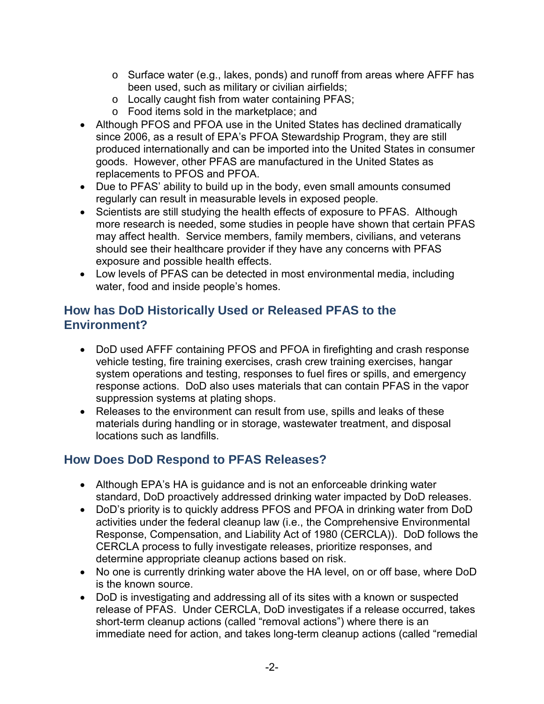- o Surface water (e.g., lakes, ponds) and runoff from areas where AFFF has been used, such as military or civilian airfields;
- o Locally caught fish from water containing PFAS;
- o Food items sold in the marketplace; and
- Although PFOS and PFOA use in the United States has declined dramatically since 2006, as a result of EPA's PFOA Stewardship Program, they are still produced internationally and can be imported into the United States in consumer goods. However, other PFAS are manufactured in the United States as replacements to PFOS and PFOA.
- Due to PFAS' ability to build up in the body, even small amounts consumed regularly can result in measurable levels in exposed people.
- Scientists are still studying the health effects of exposure to PFAS. Although more research is needed, some studies in people have shown that certain PFAS may affect health. Service members, family members, civilians, and veterans should see their healthcare provider if they have any concerns with PFAS exposure and possible health effects.
- Low levels of PFAS can be detected in most environmental media, including water, food and inside people's homes.

## **How has DoD Historically Used or Released PFAS to the Environment?**

- DoD used AFFF containing PFOS and PFOA in firefighting and crash response vehicle testing, fire training exercises, crash crew training exercises, hangar system operations and testing, responses to fuel fires or spills, and emergency response actions. DoD also uses materials that can contain PFAS in the vapor suppression systems at plating shops.
- Releases to the environment can result from use, spills and leaks of these materials during handling or in storage, wastewater treatment, and disposal locations such as landfills.

# **How Does DoD Respond to PFAS Releases?**

- Although EPA's HA is guidance and is not an enforceable drinking water standard, DoD proactively addressed drinking water impacted by DoD releases.
- DoD's priority is to quickly address PFOS and PFOA in drinking water from DoD activities under the federal cleanup law (i.e., the Comprehensive Environmental Response, Compensation, and Liability Act of 1980 (CERCLA)). DoD follows the CERCLA process to fully investigate releases, prioritize responses, and determine appropriate cleanup actions based on risk.
- No one is currently drinking water above the HA level, on or off base, where DoD is the known source.
- DoD is investigating and addressing all of its sites with a known or suspected release of PFAS. Under CERCLA, DoD investigates if a release occurred, takes short-term cleanup actions (called "removal actions") where there is an immediate need for action, and takes long-term cleanup actions (called "remedial